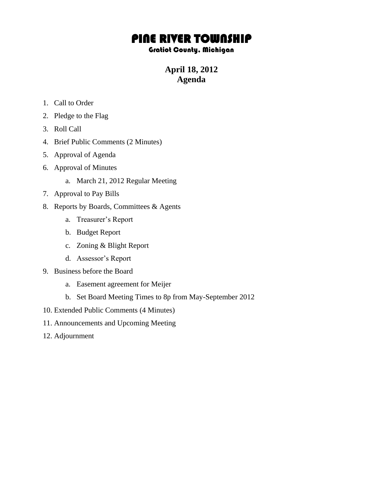## PINE RIVER TOWNSHIP

## Gratiot County, Michigan

**April 18, 2012 Agenda**

- 1. Call to Order
- 2. Pledge to the Flag
- 3. Roll Call
- 4. Brief Public Comments (2 Minutes)
- 5. Approval of Agenda
- 6. Approval of Minutes
	- a. March 21, 2012 Regular Meeting
- 7. Approval to Pay Bills
- 8. Reports by Boards, Committees & Agents
	- a. Treasurer's Report
	- b. Budget Report
	- c. Zoning & Blight Report
	- d. Assessor's Report
- 9. Business before the Board
	- a. Easement agreement for Meijer
	- b. Set Board Meeting Times to 8p from May-September 2012
- 10. Extended Public Comments (4 Minutes)
- 11. Announcements and Upcoming Meeting
- 12. Adjournment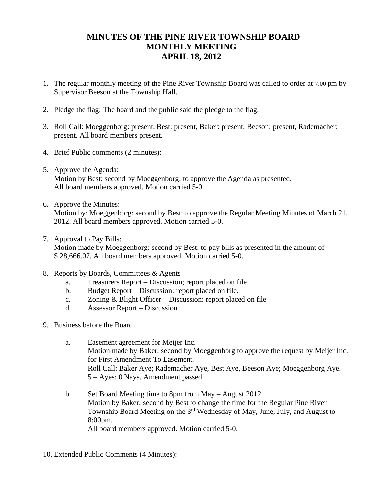## **MINUTES OF THE PINE RIVER TOWNSHIP BOARD MONTHLY MEETING APRIL 18, 2012**

- 1. The regular monthly meeting of the Pine River Township Board was called to order at 7:00 pm by Supervisor Beeson at the Township Hall.
- 2. Pledge the flag: The board and the public said the pledge to the flag.
- 3. Roll Call: Moeggenborg: present, Best: present, Baker: present, Beeson: present, Rademacher: present. All board members present.
- 4. Brief Public comments (2 minutes):
- 5. Approve the Agenda: Motion by Best: second by Moeggenborg: to approve the Agenda as presented. All board members approved. Motion carried 5-0.
- 6. Approve the Minutes: Motion by: Moeggenborg: second by Best: to approve the Regular Meeting Minutes of March 21, 2012. All board members approved. Motion carried 5-0.
- 7. Approval to Pay Bills:

Motion made by Moeggenborg: second by Best: to pay bills as presented in the amount of \$ 28,666.07. All board members approved. Motion carried 5-0.

- 8. Reports by Boards, Committees & Agents
	- a. Treasurers Report Discussion; report placed on file.
	- b. Budget Report Discussion: report placed on file.
	- c. Zoning & Blight Officer Discussion: report placed on file
	- d. Assessor Report Discussion
- 9. Business before the Board
	- a. Easement agreement for Meijer Inc. Motion made by Baker: second by Moeggenborg to approve the request by Meijer Inc. for First Amendment To Easement. Roll Call: Baker Aye; Rademacher Aye, Best Aye, Beeson Aye; Moeggenborg Aye. 5 – Ayes; 0 Nays. Amendment passed.
	- b. Set Board Meeting time to 8pm from May August 2012 Motion by Baker; second by Best to change the time for the Regular Pine River Township Board Meeting on the 3rd Wednesday of May, June, July, and August to 8:00pm. All board members approved. Motion carried 5-0.
- 10. Extended Public Comments (4 Minutes):